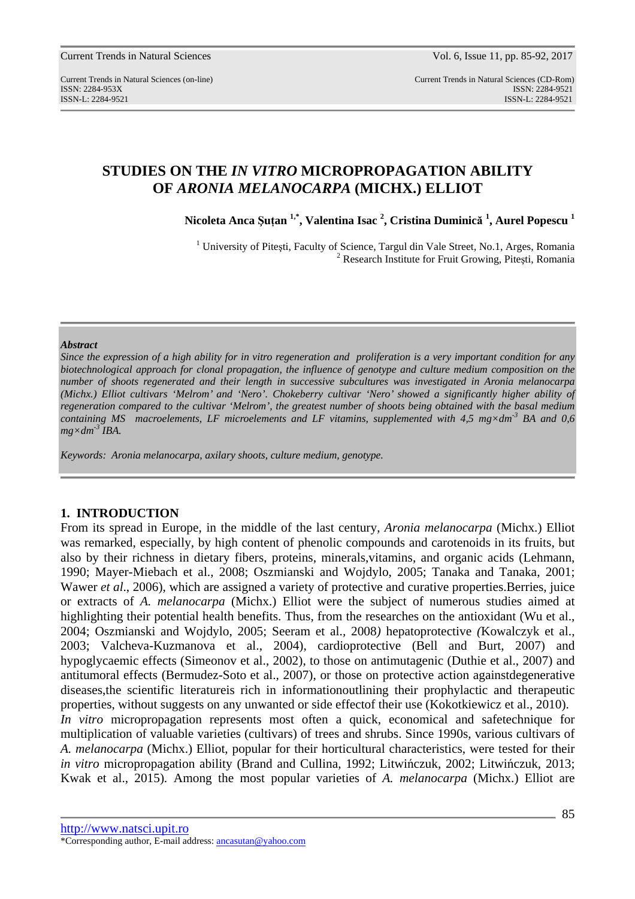Current Trends in Natural Sciences (on-line) Current Trends in Natural Sciences (CD-Rom) ISSN: 2284-953XISSN: 2284-9521 ISSN-L: 2284-9521 ISSN-L: 2284-9521

# **STUDIES ON THE** *IN VITRO* **MICROPROPAGATION ABILITY OF** *ARONIA MELANOCARPA* **(MICHX.) ELLIOT**

**Nicoleta Anca Şuţan 1,\*, Valentina Isac <sup>2</sup> , Cristina Duminică 1 , Aurel Popescu <sup>1</sup>**

<sup>1</sup> University of Pitești, Faculty of Science, Targul din Vale Street, No.1, Arges, Romania <sup>2</sup> Research Institute for Fruit Growing, Pitești, Romania

#### *Abstract*

*Since the expression of a high ability for in vitro regeneration and proliferation is a very important condition for any biotechnological approach for clonal propagation, the influence of genotype and culture medium composition on the number of shoots regenerated and their length in successive subcultures was investigated in Aronia melanocarpa (Michx.) Elliot cultivars 'Melrom' and 'Nero'. Chokeberry cultivar 'Nero' showed a significantly higher ability of regeneration compared to the cultivar 'Melrom', the greatest number of shoots being obtained with the basal medium containing MS macroelements, LF microelements and LF vitamins, supplemented with 4,5 mg×dm-3 BA and 0,6*   $mg \times dm^{-3}$  *IBA.* 

*Keywords: Aronia melanocarpa, axilary shoots, culture medium, genotype.* 

## **1. INTRODUCTION**

From its spread in Europe, in the middle of the last century, *Aronia melanocarpa* (Michx.) Elliot was remarked, especially, by high content of phenolic compounds and carotenoids in its fruits, but also by their richness in dietary fibers, proteins, minerals,vitamins, and organic acids (Lehmann, 1990; Mayer-Miebach et al., 2008; Oszmianski and Wojdylo, 2005; Tanaka and Tanaka, 2001; Wawer *et al.*, 2006), which are assigned a variety of protective and curative properties. Berries, juice or extracts of *A. melanocarpa* (Michx.) Elliot were the subject of numerous studies aimed at highlighting their potential health benefits. Thus, from the researches on the antioxidant (Wu et al., 2004; Oszmianski and Wojdylo, 2005; Seeram et al.*,* 2008*)* hepatoprotective *(*Kowalczyk et al., 2003; Valcheva-Kuzmanova et al., 2004), cardioprotective (Bell and Burt, 2007) and hypoglycaemic effects (Simeonov et al., 2002), to those on antimutagenic (Duthie et al., 2007) and antitumoral effects (Bermudez-Soto et al.*,* 2007), or those on protective action againstdegenerative diseases,the scientific literatureis rich in informationoutlining their prophylactic and therapeutic properties, without suggests on any unwanted or side effectof their use (Kokotkiewicz et al., 2010). *In vitro* micropropagation represents most often a quick, economical and safetechnique for multiplication of valuable varieties (cultivars) of trees and shrubs. Since 1990s, various cultivars of *A. melanocarpa* (Michx.) Elliot, popular for their horticultural characteristics, were tested for their *in vitro* micropropagation ability (Brand and Cullina, 1992; Litwińczuk, 2002; Litwińczuk, 2013; Kwak et al., 2015)*.* Among the most popular varieties of *A. melanocarpa* (Michx.) Elliot are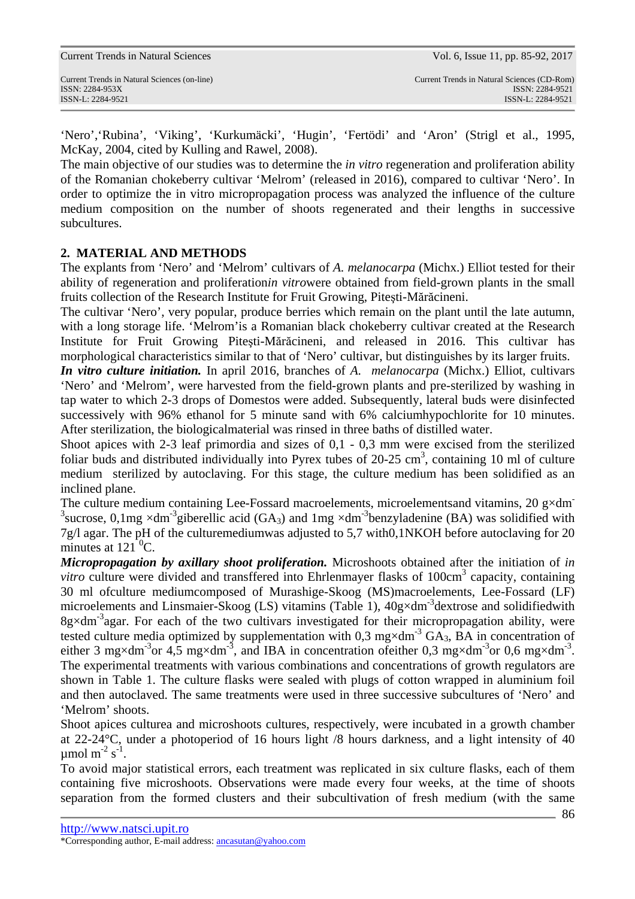'Nero','Rubina', 'Viking', 'Kurkumäcki', 'Hugin', 'Fertödi' and 'Aron' (Strigl et al., 1995, McKay, 2004, cited by Kulling and Rawel, 2008).

The main objective of our studies was to determine the *in vitro* regeneration and proliferation ability of the Romanian chokeberry cultivar 'Melrom' (released in 2016), compared to cultivar 'Nero'. In order to optimize the in vitro micropropagation process was analyzed the influence of the culture medium composition on the number of shoots regenerated and their lengths in successive subcultures.

## **2. MATERIAL AND METHODS**

The explants from 'Nero' and 'Melrom' cultivars of *A. melanocarpa* (Michx.) Elliot tested for their ability of regeneration and proliferation*in vitro*were obtained from field-grown plants in the small fruits collection of the Research Institute for Fruit Growing, Piteşti-Mărăcineni.

The cultivar 'Nero', very popular, produce berries which remain on the plant until the late autumn, with a long storage life. 'Melrom'is a Romanian black chokeberry cultivar created at the Research Institute for Fruit Growing Piteşti-Mărăcineni, and released in 2016. This cultivar has morphological characteristics similar to that of 'Nero' cultivar, but distinguishes by its larger fruits.

*In vitro culture initiation.* In april 2016, branches of *A. melanocarpa* (Michx.) Elliot, cultivars 'Nero' and 'Melrom', were harvested from the field-grown plants and pre-sterilized by washing in tap water to which 2-3 drops of Domestos were added. Subsequently, lateral buds were disinfected successively with 96% ethanol for 5 minute sand with 6% calciumhypochlorite for 10 minutes. After sterilization, the biologicalmaterial was rinsed in three baths of distilled water.

Shoot apices with 2-3 leaf primordia and sizes of 0,1 - 0,3 mm were excised from the sterilized foliar buds and distributed individually into Pyrex tubes of  $20-25 \text{ cm}^3$ , containing 10 ml of culture medium sterilized by autoclaving. For this stage, the culture medium has been solidified as an inclined plane.

The culture medium containing Lee-Fossard macroelements, microelements and vitamins, 20  $\alpha \times$ dm <sup>3</sup> sucrose, 0,1mg  $\times$ dm<sup>-3</sup>giberellic acid (GA<sub>3</sub>) and 1mg  $\times$ dm<sup>-3</sup>benzyladenine (BA) was solidified with 7g/l agar. The pH of the culturemediumwas adjusted to 5,7 with0,1NKOH before autoclaving for 20 minutes at  $121 \text{ °C}$ .

*Micropropagation by axillary shoot proliferation.* Microshoots obtained after the initiation of *in*  vitro culture were divided and transffered into Ehrlenmayer flasks of 100cm<sup>3</sup> capacity, containing 30 ml ofculture mediumcomposed of Murashige-Skoog (MS)macroelements, Lee-Fossard (LF) microelements and Linsmaier-Skoog (LS) vitamins (Table 1),  $40g \times dm^{-3}$  dextrose and solidified with  $8g \times dm^{-3}$  agar. For each of the two cultivars investigated for their micropropagation ability, were tested culture media optimized by supplementation with 0,3 mg×dm<sup>-3</sup> GA<sub>3</sub>, BA in concentration of either 3 mg×dm<sup>-3</sup>or 4,5 mg×dm<sup>-3</sup>, and IBA in concentration of either 0,3 mg×dm<sup>-3</sup>or 0,6 mg×dm<sup>-3</sup>. The experimental treatments with various combinations and concentrations of growth regulators are shown in Table 1. The culture flasks were sealed with plugs of cotton wrapped in aluminium foil and then autoclaved. The same treatments were used in three successive subcultures of 'Nero' and 'Melrom' shoots.

Shoot apices culturea and microshoots cultures, respectively, were incubated in a growth chamber at 22-24°C, under a photoperiod of 16 hours light /8 hours darkness, and a light intensity of 40  $\mu$ mol m<sup>-2</sup> s<sup>-1</sup>.

To avoid major statistical errors, each treatment was replicated in six culture flasks, each of them containing five microshoots. Observations were made every four weeks, at the time of shoots separation from the formed clusters and their subcultivation of fresh medium (with the same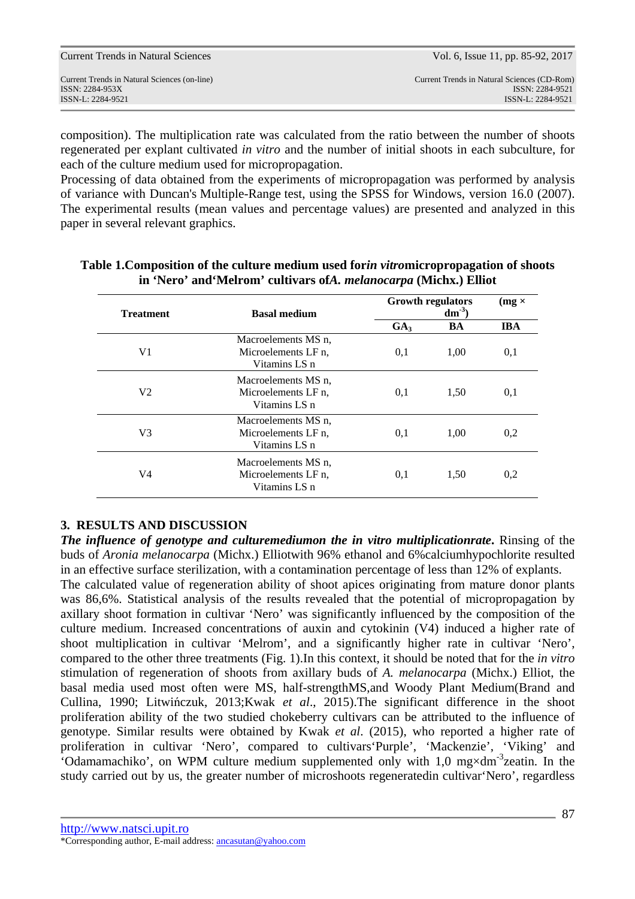composition). The multiplication rate was calculated from the ratio between the number of shoots regenerated per explant cultivated *in vitro* and the number of initial shoots in each subculture, for each of the culture medium used for micropropagation.

Processing of data obtained from the experiments of micropropagation was performed by analysis of variance with Duncan's Multiple-Range test, using the SPSS for Windows, version 16.0 (2007). The experimental results (mean values and percentage values) are presented and analyzed in this paper in several relevant graphics.

| <b>Treatment</b> | <b>Basal medium</b>                                         | <b>Growth regulators</b><br>$dm^3$ |      | $(mg \times$ |
|------------------|-------------------------------------------------------------|------------------------------------|------|--------------|
|                  |                                                             | GA <sub>3</sub>                    | BA   | <b>IBA</b>   |
| V1               | Macroelements MS n.<br>Microelements LF n.<br>Vitamins LS n | 0,1                                | 1,00 | 0,1          |
| V <sub>2</sub>   | Macroelements MS n.<br>Microelements LF n.<br>Vitamins LS n | 0.1                                | 1,50 | 0,1          |
| V <sub>3</sub>   | Macroelements MS n.<br>Microelements LF n.<br>Vitamins LS n | 0,1                                | 1,00 | 0,2          |
| V4               | Macroelements MS n,<br>Microelements LF n.<br>Vitamins LS n | 0,1                                | 1.50 | 0,2          |

## **Table 1.Composition of the culture medium used for***in vitro***micropropagation of shoots in 'Nero' and'Melrom' cultivars of***A. melanocarpa* **(Michx.) Elliot**

## **3. RESULTS AND DISCUSSION**

*The influence of genotype and culturemediumon the in vitro multiplicationrate***.** Rinsing of the buds of *Aronia melanocarpa* (Michx.) Elliotwith 96% ethanol and 6%calciumhypochlorite resulted in an effective surface sterilization, with a contamination percentage of less than 12% of explants.

The calculated value of regeneration ability of shoot apices originating from mature donor plants was 86,6%. Statistical analysis of the results revealed that the potential of micropropagation by axillary shoot formation in cultivar 'Nero' was significantly influenced by the composition of the culture medium. Increased concentrations of auxin and cytokinin (V4) induced a higher rate of shoot multiplication in cultivar 'Melrom', and a significantly higher rate in cultivar 'Nero', compared to the other three treatments (Fig. 1).In this context, it should be noted that for the *in vitro* stimulation of regeneration of shoots from axillary buds of *A. melanocarpa* (Michx.) Elliot, the basal media used most often were MS, half-strengthMS,and Woody Plant Medium(Brand and Cullina, 1990; Litwińczuk, 2013;Kwak *et al*., 2015).The significant difference in the shoot proliferation ability of the two studied chokeberry cultivars can be attributed to the influence of genotype. Similar results were obtained by Kwak *et al*. (2015), who reported a higher rate of proliferation in cultivar 'Nero', compared to cultivars'Purple', 'Mackenzie', 'Viking' and 'Odamamachiko', on WPM culture medium supplemented only with  $1,0$  mg $\times$ dm<sup>-3</sup>zeatin. In the study carried out by us, the greater number of microshoots regeneratedin cultivar'Nero', regardless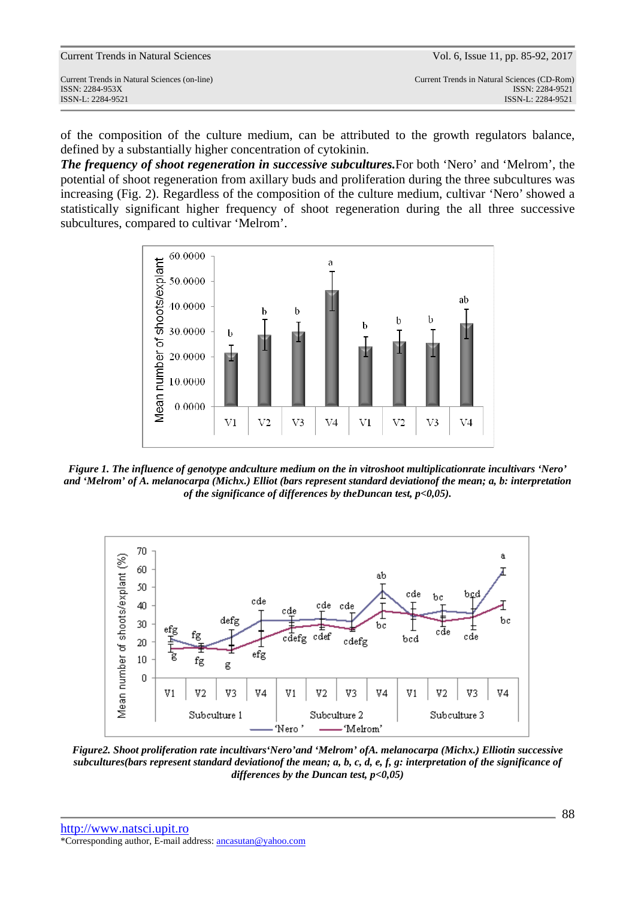Current Trends in Natural Sciences (on-line) Current Trends in Natural Sciences (CD-Rom) ISSN-L: 2284-9521 ISSN-L: 2284-9521

of the composition of the culture medium, can be attributed to the growth regulators balance, defined by a substantially higher concentration of cytokinin.

*The frequency of shoot regeneration in successive subcultures.*For both 'Nero' and 'Melrom', the potential of shoot regeneration from axillary buds and proliferation during the three subcultures was increasing (Fig. 2). Regardless of the composition of the culture medium, cultivar 'Nero' showed a statistically significant higher frequency of shoot regeneration during the all three successive subcultures, compared to cultivar 'Melrom'.



*Figure 1. The influence of genotype andculture medium on the in vitroshoot multiplicationrate incultivars 'Nero' and 'Melrom' of A. melanocarpa (Michx.) Elliot (bars represent standard deviationof the mean; a, b: interpretation of the significance of differences by theDuncan test, p<0,05).* 



*Figure2. Shoot proliferation rate incultivars'Nero'and 'Melrom' ofA. melanocarpa (Michx.) Elliotin successive subcultures(bars represent standard deviationof the mean; a, b, c, d, e, f, g: interpretation of the significance of differences by the Duncan test, p<0,05)*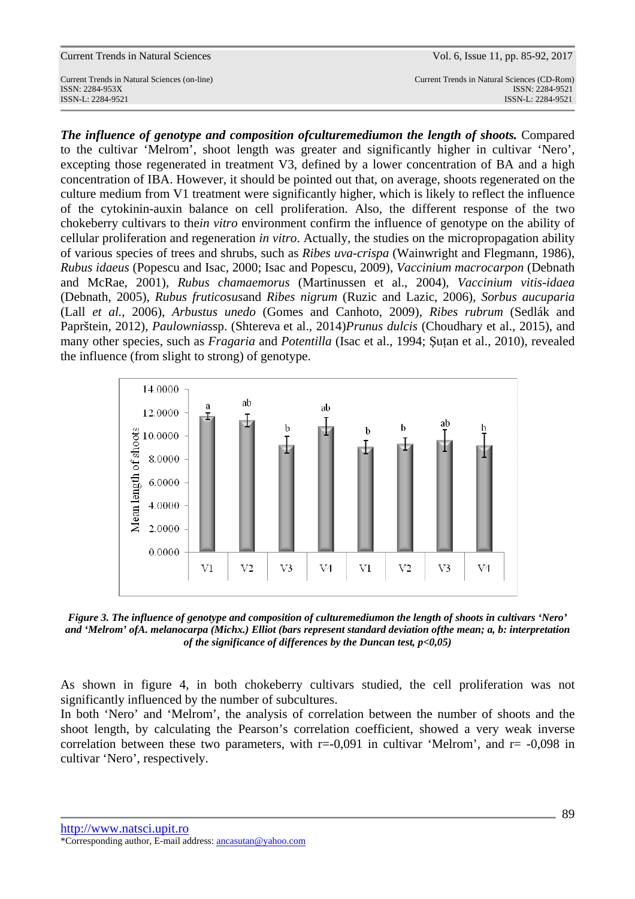Current Trends in Natural Sciences (on-line) Current Trends in Natural Sciences (CD-Rom) ISSN: 2284-953XISSN: 2284-9521

ISSN-L: 2284-9521 ISSN-L: 2284-9521

*The influence of genotype and composition ofculturemediumon the length of shoots.* Compared to the cultivar 'Melrom', shoot length was greater and significantly higher in cultivar 'Nero', excepting those regenerated in treatment V3, defined by a lower concentration of BA and a high concentration of IBA. However, it should be pointed out that, on average, shoots regenerated on the culture medium from V1 treatment were significantly higher, which is likely to reflect the influence of the cytokinin-auxin balance on cell proliferation. Also, the different response of the two chokeberry cultivars to the*in vitro* environment confirm the influence of genotype on the ability of cellular proliferation and regeneration *in vitro*. Actually, the studies on the micropropagation ability of various species of trees and shrubs, such as *Ribes uva-crispa* (Wainwright and Flegmann, 1986), *Rubus idaeus* (Popescu and Isac, 2000; Isac and Popescu, 2009), *Vaccinium macrocarpon* (Debnath and McRae, 2001), *Rubus chamaemorus* (Martinussen et al., 2004), *Vaccinium vitis-idaea* (Debnath, 2005), *Rubus fruticosus*and *Ribes nigrum* (Ruzic and Lazic, 2006), *Sorbus aucuparia* (Lall *et al.*, 2006), *Arbustus unedo* (Gomes and Canhoto, 2009), *Ribes rubrum* (Sedlák and Paprštein, 2012), *Paulownia*ssp. (Shtereva et al., 2014)*Prunus dulcis* (Choudhary et al., 2015), and many other species, such as *Fragaria* and *Potentilla* (Isac et al., 1994; Şuțan et al., 2010), revealed the influence (from slight to strong) of genotype.



*Figure 3. The influence of genotype and composition of culturemediumon the length of shoots in cultivars 'Nero' and 'Melrom' ofA. melanocarpa (Michx.) Elliot (bars represent standard deviation ofthe mean; a, b: interpretation of the significance of differences by the Duncan test, p<0,05)* 

As shown in figure 4, in both chokeberry cultivars studied, the cell proliferation was not significantly influenced by the number of subcultures.

In both 'Nero' and 'Melrom', the analysis of correlation between the number of shoots and the shoot length, by calculating the Pearson's correlation coefficient, showed a very weak inverse correlation between these two parameters, with  $r=0.091$  in cultivar 'Melrom', and  $r=0.098$  in cultivar 'Nero', respectively.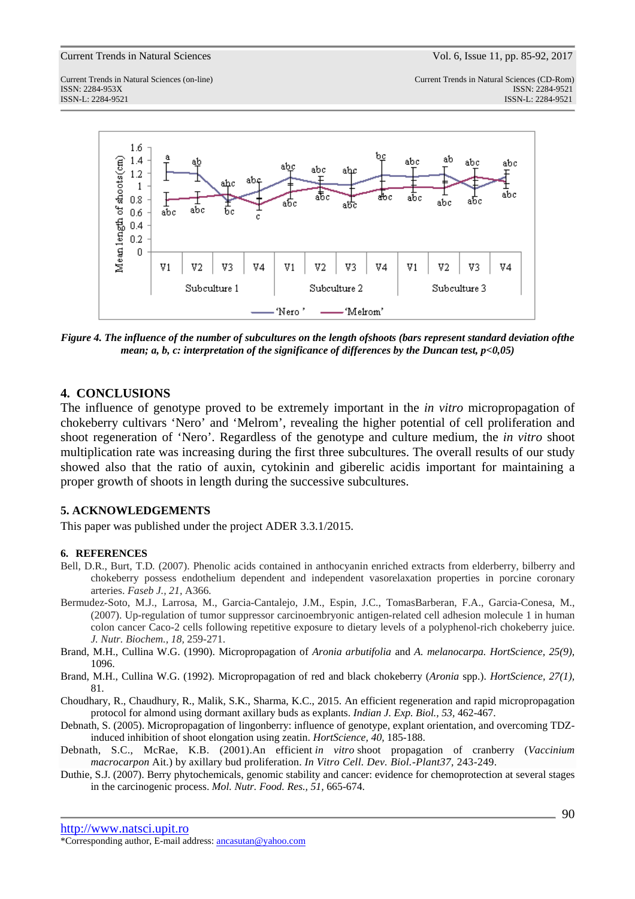ISSN: 2284-953XISSN: 2284-9521

Current Trends in Natural Sciences (on-line) Current Trends in Natural Sciences (CD-Rom) ISSN-L: 2284-9521 ISSN-L: 2284-9521



*Figure 4. The influence of the number of subcultures on the length ofshoots (bars represent standard deviation ofthe mean; a, b, c: interpretation of the significance of differences by the Duncan test, p<0,05)* 

## **4. CONCLUSIONS**

The influence of genotype proved to be extremely important in the *in vitro* micropropagation of chokeberry cultivars 'Nero' and 'Melrom', revealing the higher potential of cell proliferation and shoot regeneration of 'Nero'. Regardless of the genotype and culture medium, the *in vitro* shoot multiplication rate was increasing during the first three subcultures. The overall results of our study showed also that the ratio of auxin, cytokinin and giberelic acidis important for maintaining a proper growth of shoots in length during the successive subcultures.

## **5. ACKNOWLEDGEMENTS**

This paper was published under the project ADER 3.3.1/2015.

#### **6. REFERENCES**

- Bell, D.R., Burt, T.D*.* (2007). Phenolic acids contained in anthocyanin enriched extracts from elderberry, bilberry and chokeberry possess endothelium dependent and independent vasorelaxation properties in porcine coronary arteries. *Faseb J., 21,* A366*.*
- Bermudez-Soto, M.J., Larrosa, M., Garcia-Cantalejo, J.M., Espin, J.C., TomasBarberan, F.A., Garcia-Conesa, M., (2007). Up-regulation of tumor suppressor carcinoembryonic antigen-related cell adhesion molecule 1 in human colon cancer Caco-2 cells following repetitive exposure to dietary levels of a polyphenol-rich chokeberry juice. *J. Nutr. Biochem., 18,* 259-271.
- Brand, M.H., Cullina W.G. (1990). Micropropagation of *Aronia arbutifolia* and *A. melanocarpa. HortScience, 25(9),* 1096.
- Brand, M.H., Cullina W.G. (1992). Micropropagation of red and black chokeberry (*Aronia* spp.). *HortScience, 27(1),* 81.
- Choudhary, R., Chaudhury, R., Malik, S.K., Sharma, K.C., 2015. An efficient regeneration and rapid micropropagation protocol for almond using dormant axillary buds as explants. *Indian J. Exp. Biol., 53,* 462-467.
- Debnath, S. (2005). Micropropagation of lingonberry: influence of genotype, explant orientation, and overcoming TDZinduced inhibition of shoot elongation using zeatin. *HortScience, 40,* 185-188.
- Debnath, S.C., McRae, K.B. (2001).An efficient *in vitro* shoot propagation of cranberry (*Vaccinium macrocarpon* Ait.) by axillary bud proliferation. *In Vitro Cell. Dev. Biol.-Plant37,* 243-249.
- Duthie, S.J. (2007). Berry phytochemicals, genomic stability and cancer: evidence for chemoprotection at several stages in the carcinogenic process. *Mol. Nutr. Food. Res., 51,* 665-674.

http://www.natsci.upit.ro

\*Corresponding author, E-mail address: ancasutan@yahoo.com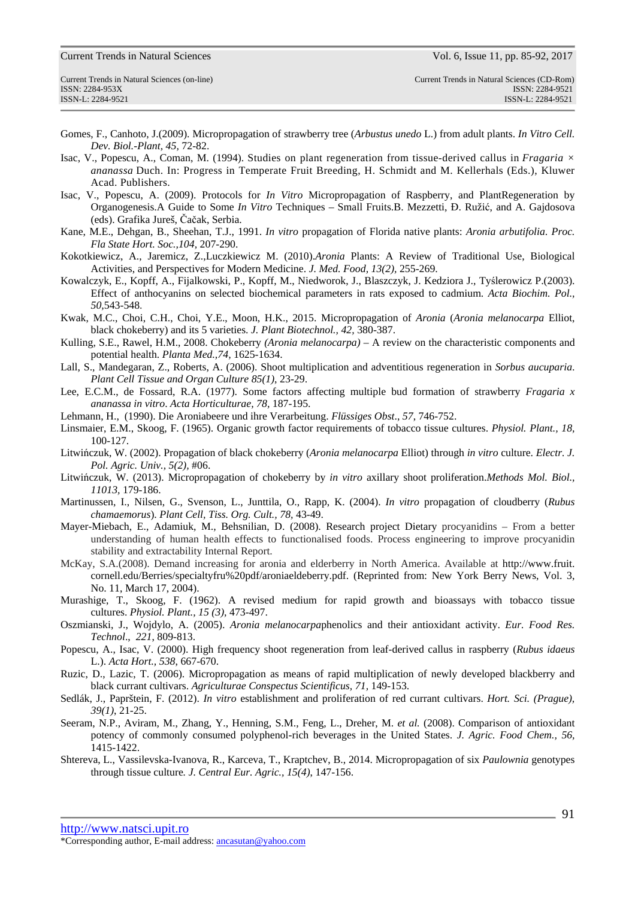ISSN: 2284-953XISSN: 2284-9521

- Gomes, F., Canhoto, J.(2009). Micropropagation of strawberry tree (*Arbustus unedo* L.) from adult plants. *In Vitro Cell. Dev. Biol.-Plant, 45,* 72-82.
- Isac, V., Popescu, A., Coman, M. (1994). Studies on plant regeneration from tissue-derived callus in *Fragaria × ananassa* Duch. In: Progress in Temperate Fruit Breeding, H. Schmidt and M. Kellerhals (Eds.), Kluwer Acad. Publishers.
- Isac, V., Popescu, A. (2009). Protocols for *In Vitro* Micropropagation of Raspberry, and PlantRegeneration by Organogenesis.A Guide to Some *In Vitro* Techniques – Small Fruits.B. Mezzetti, Đ. Ružić, and A. Gajdosova (eds). Grafika Jureš, Čačak, Serbia.
- Kane, M.E., Dehgan, B., Sheehan, T.J., 1991. *In vitro* propagation of Florida native plants: *Aronia arbutifolia*. *Proc. Fla State Hort. Soc.,104,* 207-290.
- Kokotkiewicz, A., Jaremicz, Z.,Luczkiewicz M. (2010).*Aronia* Plants: A Review of Traditional Use, Biological Activities, and Perspectives for Modern Medicine. *J. Med. Food, 13(2),* 255-269.
- Kowalczyk, E., Kopff, A., Fijalkowski, P., Kopff, M., Niedworok, J., Blaszczyk, J. Kedziora J., Tyślerowicz P.(2003). Effect of anthocyanins on selected biochemical parameters in rats exposed to cadmium. *Acta Biochim. Pol., 50,*543-548.
- Kwak, M.C., Choi, C.H., Choi, Y.E., Moon, H.K., 2015. Micropropagation of *Aronia* (*Aronia melanocarpa* Elliot, black chokeberry) and its 5 varieties. *J. Plant Biotechnol., 42,* 380-387.
- Kulling, S.E., Rawel, H.M., 2008. Chokeberry *(Aronia melanocarpa)*  A review on the characteristic components and potential health. *Planta Med.,74,* 1625-1634.
- Lall, S., Mandegaran, Z., Roberts, A. (2006). Shoot multiplication and adventitious regeneration in *Sorbus aucuparia*. *Plant Cell Tissue and Organ Culture 85(1)*, 23-29.
- Lee, E.C.M., de Fossard, R.A. (1977). Some factors affecting multiple bud formation of strawberry *Fragaria x ananassa in vitro*. *Acta Horticulturae, 78,* 187-195.
- Lehmann, H., (1990). Die Aroniabeere und ihre Verarbeitung. *Flüssiges Obst*., *57*, 746-752.
- Linsmaier, E.M., Skoog, F. (1965). Organic growth factor requirements of tobacco tissue cultures. *Physiol. Plant., 18,*  100-127.
- Litwińczuk, W. (2002). Propagation of black chokeberry (*Aronia melanocarpa* Elliot) through *in vitro* culture. *Electr. J. Pol. Agric. Univ., 5(2),* #06.
- Litwińczuk, W. (2013). Micropropagation of chokeberry by *in vitro* axillary shoot proliferation.*Methods Mol. Biol., 11013,* 179-186.
- Martinussen, I., Nilsen, G., Svenson, L., Junttila, O., Rapp, K. (2004). *In vitro* propagation of cloudberry (*Rubus chamaemorus*). *Plant Cell, Tiss. Org. Cult., 78,* 43-49.
- Mayer-Miebach, E., Adamiuk, M., Behsnilian, D. (2008). Research project Dietary procyanidins From a better understanding of human health effects to functionalised foods. Process engineering to improve procyanidin stability and extractability Internal Report.
- McKay, S.A.(2008). Demand increasing for aronia and elderberry in North America. Available at http://www.fruit. cornell.edu/Berries/specialtyfru%20pdf/aroniaeldeberry.pdf. (Reprinted from: New York Berry News, Vol. 3, No. 11, March 17, 2004).
- Murashige, T., Skoog, F. (1962). A revised medium for rapid growth and bioassays with tobacco tissue cultures. *Physiol. Plant., 15 (3),* 473-497.
- Oszmianski, J., Wojdylo, A. (2005). *Aronia melanocarpa*phenolics and their antioxidant activity. *Eur. Food Res. Technol*., *221*, 809-813.
- Popescu, A., Isac, V. (2000). High frequency shoot regeneration from leaf-derived callus in raspberry (*Rubus idaeus* L.). *Acta Hort., 538*, 667-670.
- Ruzic, D., Lazic, T. (2006). Micropropagation as means of rapid multiplication of newly developed blackberry and black currant cultivars. *Agriculturae Conspectus Scientificus, 71,* 149-153.
- Sedlák, J., Paprštein, F. (2012). *In vitro* establishment and proliferation of red currant cultivars. *Hort. Sci. (Prague), 39(1)*, 21-25.
- Seeram, N.P., Aviram, M., Zhang, Y., Henning, S.M., Feng, L., Dreher, M. *et al.* (2008). Comparison of antioxidant potency of commonly consumed polyphenol-rich beverages in the United States. *J. Agric. Food Chem., 56,* 1415-1422.
- Shtereva, L., Vassilevska-Ivanova, R., Karceva, T., Kraptchev, B., 2014. Micropropagation of six *Paulownia* genotypes through tissue culture*. J. Central Eur. Agric., 15(4)*, 147-156.

http://www.natsci.upit.ro \*Corresponding author, E-mail address: ancasutan@yahoo.com